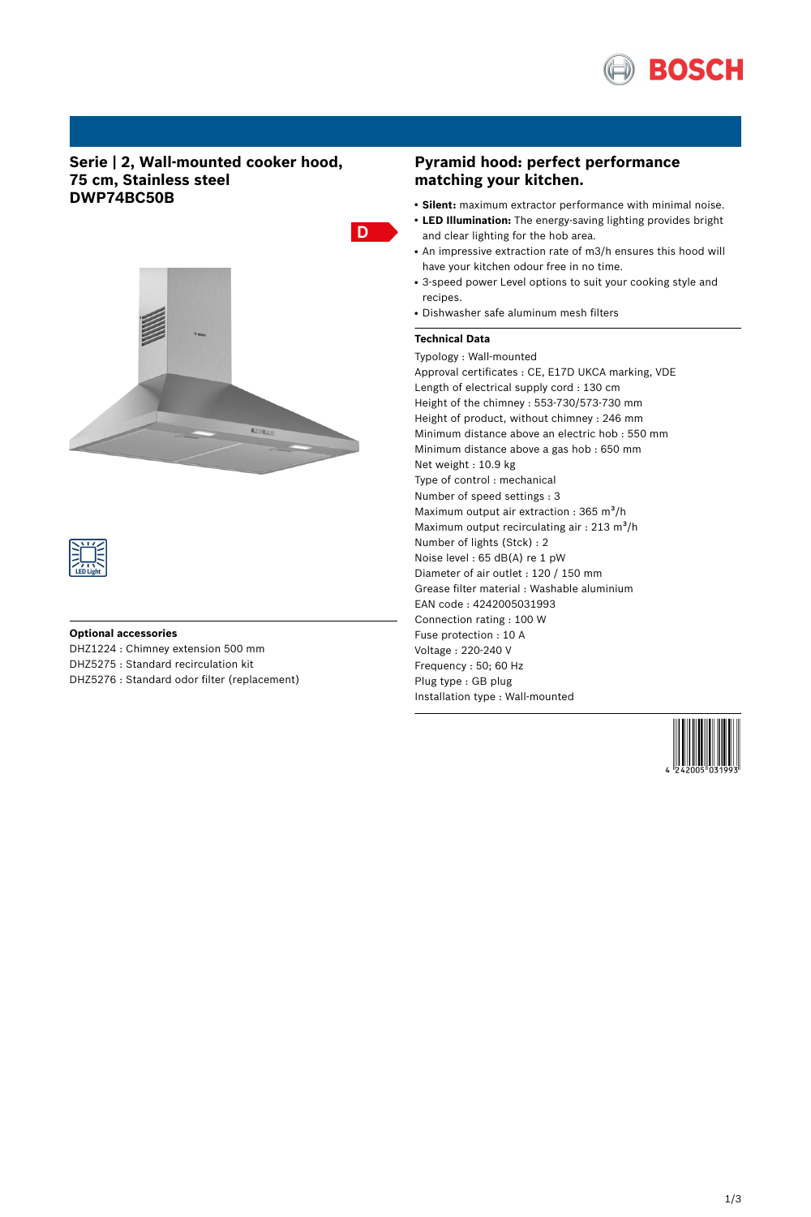

# **Serie | 2, Wall-mounted cooker hood, 75 cm, Stainless steel DWP74BC50B**





### **Optional accessories**

DHZ1224 : Chimney extension 500 mm DHZ5275 : Standard recirculation kit DHZ5276 : Standard odor filter (replacement)

# **Pyramid hood: perfect performance matching your kitchen.**

- **Silent:** maximum extractor performance with minimal noise.
- **LED Illumination:** The energy-saving lighting provides bright and clear lighting for the hob area.
- An impressive extraction rate of m3/h ensures this hood will have your kitchen odour free in no time.
- 3-speed power Level options to suit your cooking style and recipes.
- Dishwasher safe aluminum mesh filters

## **Technical Data**

D

Typology : Wall-mounted Approval certificates : CE, E17D UKCA marking, VDE Length of electrical supply cord : 130 cm Height of the chimney : 553-730/573-730 mm Height of product, without chimney : 246 mm Minimum distance above an electric hob : 550 mm Minimum distance above a gas hob : 650 mm Net weight : 10.9 kg Type of control : mechanical Number of speed settings : 3 Maximum output air extraction :  $365 \text{ m}^3\text{/h}$ Maximum output recirculating air :  $213 \text{ m}^3/\text{h}$ Number of lights (Stck) : 2 Noise level : 65 dB(A) re 1 pW Diameter of air outlet : 120 / 150 mm Grease filter material : Washable aluminium EAN code : 4242005031993 Connection rating : 100 W Fuse protection : 10 A Voltage : 220-240 V Frequency : 50; 60 Hz Plug type : GB plug Installation type : Wall-mounted

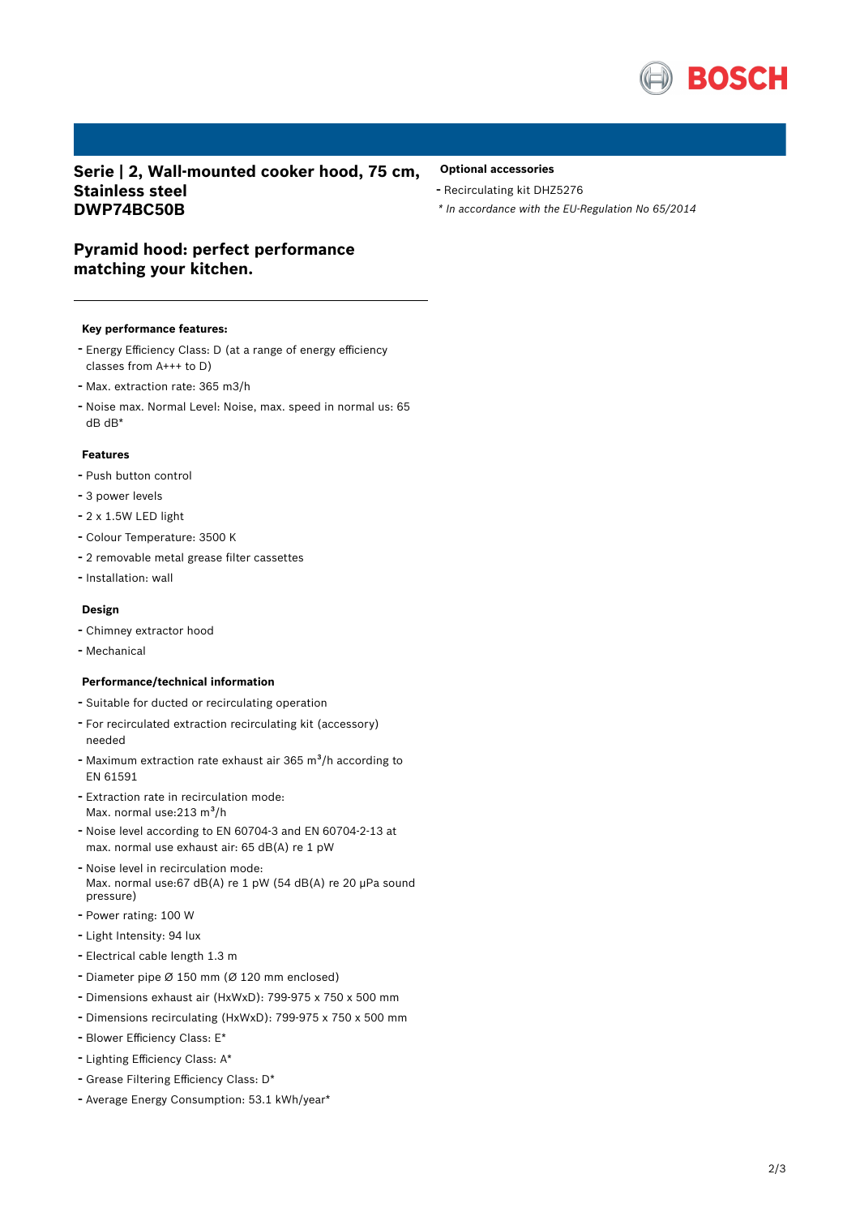

**Serie | 2, Wall-mounted cooker hood, 75 cm, Stainless steel DWP74BC50B**

- **Optional accessories**
- Recirculating kit DHZ5276
- *\* In accordance with the EU-Regulation No 65/2014*

# **Pyramid hood: perfect performance matching your kitchen.**

#### **Key performance features:**

- Energy Efficiency Class: <sup>D</sup> (at <sup>a</sup> range of energy efficiency classes from A+++ to D)
- Max. extraction rate: <sup>365</sup> m3/h
- Noise max. Normal Level: Noise, max. speed in normal us: <sup>65</sup> dB dB\*

## **Features**

- Push button control
- <sup>3</sup> power levels
- 2 x 1.5W LED light
- Colour Temperature: <sup>3500</sup> <sup>K</sup>
- <sup>2</sup> removable metal grease filter cassettes
- Installation: wall

## **Design**

- Chimney extractor hood
- Mechanical

#### **Performance/technical information**

- Suitable for ducted or recirculating operation
- For recirculated extraction recirculating kit (accessory) needed
- Maximum extraction rate exhaust air 365 m<sup>3</sup>/h according to EN 61591
- Extraction rate in recirculation mode: Max. normal use: $213 \text{ m}^3/h$
- Noise level according to EN 60704-3 and EN 60704-2-13 at max. normal use exhaust air: 65 dB(A) re 1 pW
- Noise level in recirculation mode: Max. normal use:67 dB(A) re 1 pW (54 dB(A) re 20 µPa sound pressure)
- Power rating: <sup>100</sup> <sup>W</sup>
- Light Intensity: <sup>94</sup> lux
- Electrical cable length 1.3 <sup>m</sup>
- Diameter pipe <sup>Ø</sup> <sup>150</sup> mm (Ø <sup>120</sup> mm enclosed)
- Dimensions exhaust air (HxWxD): 799-975 <sup>x</sup> <sup>750</sup> <sup>x</sup> <sup>500</sup> mm
- Dimensions recirculating (HxWxD): 799-975 <sup>x</sup> <sup>750</sup> <sup>x</sup> <sup>500</sup> mm
- Blower Efficiency Class: E\*
- Lighting Efficiency Class: A\*
- Grease Filtering Efficiency Class: D\*
- Average Energy Consumption: 53.1 kWh/year\*